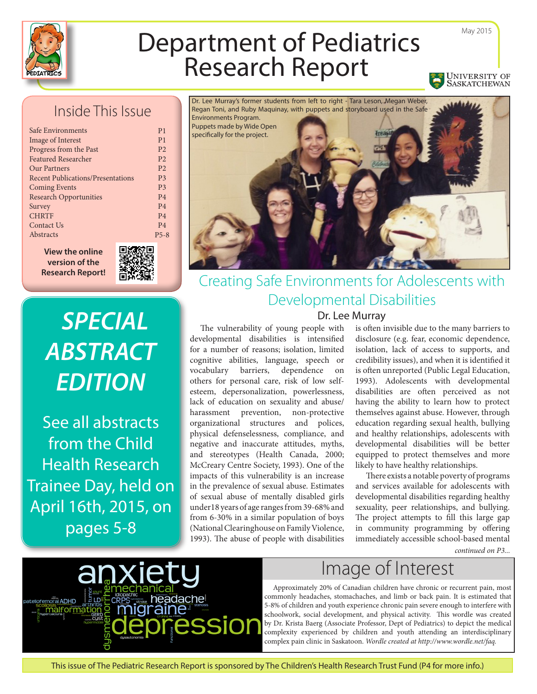

# Department of Pediatrics

## Inside This Issue

| Safe Environments                        | P <sub>1</sub> |
|------------------------------------------|----------------|
| Image of Interest                        | P <sub>1</sub> |
| Progress from the Past                   | P <sub>2</sub> |
| <b>Featured Researcher</b>               | P <sub>2</sub> |
| <b>Our Partners</b>                      | P <sub>2</sub> |
| <b>Recent Publications/Presentations</b> | P <sub>3</sub> |
| <b>Coming Events</b>                     | P <sub>3</sub> |
| <b>Research Opportunities</b>            | <b>P4</b>      |
| Survey                                   | <b>P4</b>      |
| <b>CHRTF</b>                             | <b>P4</b>      |
| Contact Us                               | <b>P4</b>      |
| Abstracts                                | $P5 - i$       |
|                                          |                |

**View the online version of the Research Report!**



 $-8$ 

*SPECIAL ABSTRACT EDITION* 

See all abstracts from the Child Health Research Trainee Day, held on April 16th, 2015, on pages 5-8



# Creating Safe Environments for Adolescents with Developmental Disabilities

Dr. Lee Murray

The vulnerability of young people with developmental disabilities is intensified for a number of reasons; isolation, limited cognitive abilities, language, speech or vocabulary barriers, dependence on others for personal care, risk of low selfesteem, depersonalization, powerlessness, lack of education on sexuality and abuse/ harassment prevention, non-protective organizational structures and polices, physical defenselessness, compliance, and negative and inaccurate attitudes, myths, and stereotypes (Health Canada, 2000; McCreary Centre Society, 1993). One of the impacts of this vulnerability is an increase in the prevalence of sexual abuse. Estimates of sexual abuse of mentally disabled girls under18 years of age ranges from 39-68% and from 6-30% in a similar population of boys (National Clearinghouse on Family Violence, 1993). The abuse of people with disabilities

is often invisible due to the many barriers to disclosure (e.g. fear, economic dependence, isolation, lack of access to supports, and credibility issues), and when it is identified it is often unreported (Public Legal Education, 1993). Adolescents with developmental disabilities are often perceived as not having the ability to learn how to protect themselves against abuse. However, through education regarding sexual health, bullying and healthy relationships, adolescents with developmental disabilities will be better equipped to protect themselves and more likely to have healthy relationships.

There exists a notable poverty of programs and services available for adolescents with developmental disabilities regarding healthy sexuality, peer relationships, and bullying. The project attempts to fill this large gap in community programming by offering immediately accessible school-based mental

*continued on P3...*



# Image of Interest

Approximately 20% of Canadian children have chronic or recurrent pain, most commonly headaches, stomachaches, and limb or back pain. It is estimated that 5-8% of children and youth experience chronic pain severe enough to interfere with schoolwork, social development, and physical activity. This wordle was created by Dr. Krista Baerg (Associate Professor, Dept of Pediatrics) to depict the medical complexity experienced by children and youth attending an interdisciplinary complex pain clinic in Saskatoon. *Wordle created at http://www.wordle.net/faq.*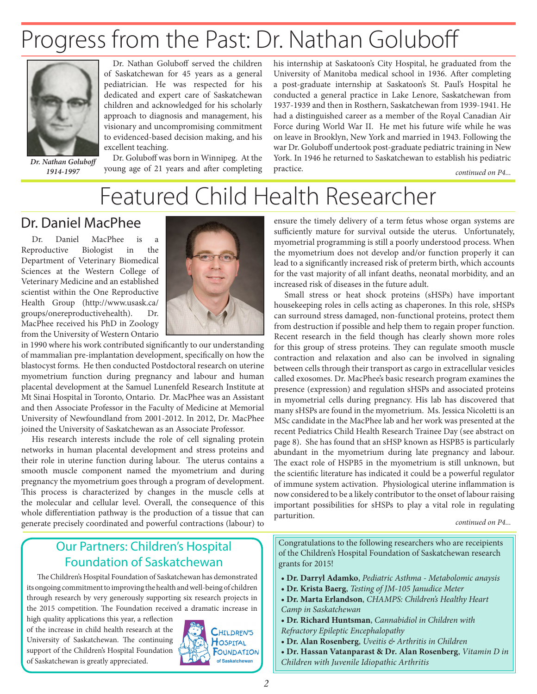# Progress from the Past: Dr. Nathan Goluboff



*1914-1997*

Dr. Nathan Goluboff served the children of Saskatchewan for 45 years as a general pediatrician. He was respected for his dedicated and expert care of Saskatchewan children and acknowledged for his scholarly approach to diagnosis and management, his visionary and uncompromising commitment to evidenced-based decision making, and his excellent teaching.

Dr. Goluboff was born in Winnipeg. At the Dr. Nathan Goluboff<br>1914-1997 young age of 21 years and after completing his internship at Saskatoon's City Hospital, he graduated from the University of Manitoba medical school in 1936. After completing a post-graduate internship at Saskatoon's St. Paul's Hospital he conducted a general practice in Lake Lenore, Saskatchewan from 1937-1939 and then in Rosthern, Saskatchewan from 1939-1941. He had a distinguished career as a member of the Royal Canadian Air Force during World War II. He met his future wife while he was on leave in Brooklyn, New York and married in 1943. Following the war Dr. Goluboff undertook post-graduate pediatric training in New York. In 1946 he returned to Saskatchewan to establish his pediatric practice.

*continued on P4...*

# Featured Child Health Researcher

### Dr. Daniel MacPhee

Dr. Daniel MacPhee is a Reproductive Biologist in the Department of Veterinary Biomedical Sciences at the Western College of Veterinary Medicine and an established scientist within the One Reproductive Health Group (http://www.usask.ca/ groups/onereproductivehealth). Dr. MacPhee received his PhD in Zoology from the University of Western Ontario



in 1990 where his work contributed significantly to our understanding of mammalian pre-implantation development, specifically on how the blastocyst forms. He then conducted Postdoctoral research on uterine myometrium function during pregnancy and labour and human placental development at the Samuel Lunenfeld Research Institute at Mt Sinai Hospital in Toronto, Ontario. Dr. MacPhee was an Assistant and then Associate Professor in the Faculty of Medicine at Memorial University of Newfoundland from 2001-2012. In 2012, Dr. MacPhee joined the University of Saskatchewan as an Associate Professor.

His research interests include the role of cell signaling protein networks in human placental development and stress proteins and their role in uterine function during labour. The uterus contains a smooth muscle component named the myometrium and during pregnancy the myometrium goes through a program of development. This process is characterized by changes in the muscle cells at the molecular and cellular level. Overall, the consequence of this whole differentiation pathway is the production of a tissue that can generate precisely coordinated and powerful contractions (labour) to

ensure the timely delivery of a term fetus whose organ systems are sufficiently mature for survival outside the uterus. Unfortunately, myometrial programming is still a poorly understood process. When the myometrium does not develop and/or function properly it can lead to a significantly increased risk of preterm birth, which accounts for the vast majority of all infant deaths, neonatal morbidity, and an increased risk of diseases in the future adult.

Small stress or heat shock proteins (sHSPs) have important housekeeping roles in cells acting as chaperones. In this role, sHSPs can surround stress damaged, non-functional proteins, protect them from destruction if possible and help them to regain proper function. Recent research in the field though has clearly shown more roles for this group of stress proteins. They can regulate smooth muscle contraction and relaxation and also can be involved in signaling between cells through their transport as cargo in extracellular vesicles called exosomes. Dr. MacPhee's basic research program examines the presence (expression) and regulation sHSPs and associated proteins in myometrial cells during pregnancy. His lab has discovered that many sHSPs are found in the myometrium. Ms. Jessica Nicoletti is an MSc candidate in the MacPhee lab and her work was presented at the recent Pediatrics Child Health Research Trainee Day (see abstract on page 8). She has found that an sHSP known as HSPB5 is particularly abundant in the myometrium during late pregnancy and labour. The exact role of HSPB5 in the myometrium is still unknown, but the scientific literature has indicated it could be a powerful regulator of immune system activation. Physiological uterine inflammation is now considered to be a likely contributor to the onset of labour raising important possibilities for sHSPs to play a vital role in regulating parturition. *continued on P4...* 

### Our Partners: Children's Hospital Foundation of Saskatchewan

The Children's Hospital Foundation of Saskatchewan has demonstrated its ongoing commitment to improving the health and well-being of children through research by very generously supporting six research projects in the 2015 competition. The Foundation received a dramatic increase in

high quality applications this year, a reflection of the increase in child health research at the University of Saskatchewan. The continuing support of the Children's Hospital Foundation of Saskatchewan is greatly appreciated.



Congratulations to the following researchers who are receipients of the Children's Hospital Foundation of Saskatchewan research grants for 2015!

- **Dr. Darryl Adamko**, *Pediatric Asthma Metabolomic anaysis*
- **Dr. Krista Baerg**, *Testing of JM-105 Janudice Meter*
- **Dr. Marta Erlandson**, *CHAMPS: Children's Healthy Heart Camp in Saskatchewan*
- **Dr. Richard Huntsman**, *Cannabidiol in Children with Refractory Epileptic Encephalopathy*
- **Dr. Alan Rosenberg**, *Uveitis & Arthritis in Children*
- **Dr. Hassan Vatanparast & Dr. Alan Rosenberg**, *Vitamin D in Children with Juvenile Idiopathic Arthritis*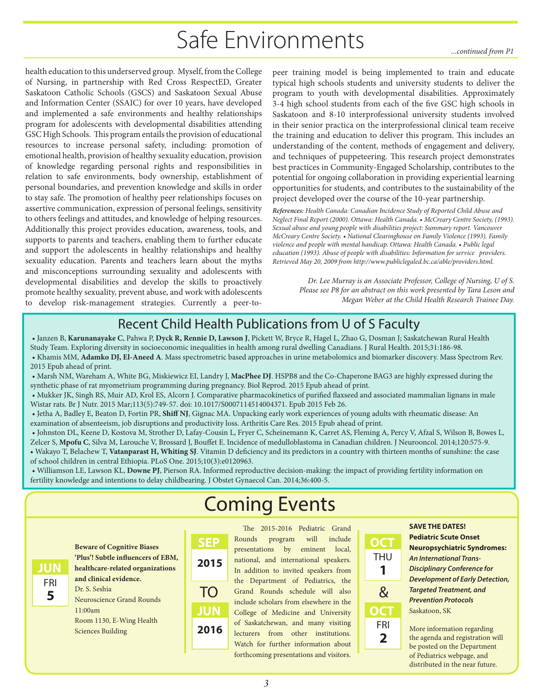# Safe Environments *...continued from P1*

health education to this underserved group. Myself, from the College of Nursing, in partnership with Red Cross RespectED, Greater Saskatoon Catholic Schools (GSCS) and Saskatoon Sexual Abuse and Information Center (SSAIC) for over 10 years, have developed and implemented a safe environments and healthy relationships program for adolescents with developmental disabilities attending GSC High Schools. This program entails the provision of educational resources to increase personal safety, including: promotion of emotional health, provision of healthy sexuality education, provision of knowledge regarding personal rights and responsibilities in relation to safe environments, body ownership, establishment of personal boundaries, and prevention knowledge and skills in order to stay safe. The promotion of healthy peer relationships focuses on assertive communication, expression of personal feelings, sensitivity to others feelings and attitudes, and knowledge of helping resources. Additionally this project provides education, awareness, tools, and supports to parents and teachers, enabling them to further educate and support the adolescents in healthy relationships and healthy sexuality education. Parents and teachers learn about the myths and misconceptions surrounding sexuality and adolescents with developmental disabilities and develop the skills to proactively promote healthy sexuality, prevent abuse, and work with adolescents to develop risk-management strategies. Currently a peer-to-

peer training model is being implemented to train and educate typical high schools students and university students to deliver the program to youth with developmental disabilities. Approximately 3-4 high school students from each of the five GSC high schools in Saskatoon and 8-10 interprofessional university students involved in their senior practica on the interprofessional clinical team receive the training and education to deliver this program. This includes an understanding of the content, methods of engagement and delivery, and techniques of puppeteering. This research project demonstrates best practices in Community-Engaged Scholarship, contributes to the potential for ongoing collaboration in providing experiential learning opportunities for students, and contributes to the sustainability of the project developed over the course of the 10-year partnership.

*References: Health Canada: Canadian Incidence Study of Reported Child Abuse and Neglect Final Report (2000). Ottawa: Health Canada. • McCreary Centre Society, (1993). Sexual abuse and young people with disabilities project: Summary report. Vancouver McCreary Centre Society. • National Clearinghouse on Family Violence (1993). Family violence and people with mental handicap. Ottawa: Health Canada. • Public legal education (1993). Abuse of people with disabilities: Information for service providers. Retrieved May 20, 2009 from http://www.publiclegaled.bc.ca/able/providers.html.* 

> *Dr. Lee Murray is an Associate Professor, College of Nursing, U of S. Please see P8 for an abstract on this work presented by Tara Leson and Megan Weber at the Child Health Research Trainee Day.*

## Recent Child Health Publications from U of S Faculty

- Janzen B, **Karunanayake C**, Pahwa P, **Dyck R, Rennie D, Lawson J**, Pickett W, Bryce R, Hagel L, Zhao G, Dosman J; Saskatchewan Rural Health
- Study Team. Exploring diversity in socioeconomic inequalities in health among rural dwelling Canadians. J Rural Health. 2015;31:186-98. • Khamis MM, **Adamko DJ, El-Aneed A**. Mass spectrometric based approaches in urine metabolomics and biomarker discovery. Mass Spectrom Rev. 2015 Epub ahead of print.
- Marsh NM, Wareham A, White BG, Miskiewicz EI, Landry J, **MacPhee DJ**. HSPB8 and the Co-Chaperone BAG3 are highly expressed during the synthetic phase of rat myometrium programming during pregnancy. Biol Reprod. 2015 Epub ahead of print.
- Mukker JK, Singh RS, Muir AD, Krol ES, Alcorn J. Comparative pharmacokinetics of purified flaxseed and associated mammalian lignans in male Wistar rats. Br J Nutr. 2015 Mar;113(5):749-57. doi: 10.1017/S0007114514004371. Epub 2015 Feb 26.
- Jetha A, Badley E, Beaton D, Fortin PR, **Shiff NJ**, Gignac MA. Unpacking early work experiences of young adults with rheumatic disease: An examination of absenteeism, job disruptions and productivity loss. Arthritis Care Res. 2015 Epub ahead of print.
- Johnston DL, Keene D, Kostova M, Strother D, Lafay-Cousin L, Fryer C, Scheinemann K, Carret AS, Fleming A, Percy V, Afzal S, Wilson B, Bowes L, Zelcer S, **Mpofu C**, Silva M, Larouche V, Brossard J, Bouffet E. Incidence of medulloblastoma in Canadian children. J Neurooncol. 2014;120:575-9.
- Wakayo T, Belachew T, **Vatanparast H, Whiting SJ**. Vitamin D deficiency and its predictors in a country with thirteen months of sunshine: the case of school children in central Ethiopia. PLoS One. 2015;10(3):e0120963.
- Williamson LE, Lawson KL, **Downe PJ**, Pierson RA. Informed reproductive decision-making: the impact of providing fertility information on fertility knowledge and intentions to delay childbearing. J Obstet Gynaecol Can. 2014;36:400-5.

# Coming Events



**Beware of Cognitive Biases 'Plus'! Subtle influencers of EBM, healthcare-related organizations and clinical evidence.**

Dr. S. Seshia Neuroscience Grand Rounds 11:00am Room 1130, E-Wing Health Sciences Building

The 2015-2016 Pediatric Grand Rounds program will include presentations by eminent local, national, and international speakers. In addition to invited speakers from the Department of Pediatrics, the Grand Rounds schedule will also TO &include scholars from elsewhere in the College of Medicine and University of Saskatchewan, and many visiting lecturers from other institutions. Watch for further information about forthcoming presentations and visitors. **2016 2015**

**OCT 1 THU OCT 2** FRI

#### **SAVE THE DATES!**

**Pediatric Scute Onset Neuropsychiatric Syndromes:** *An International Trans-Disciplinary Conference for Development of Early Detection, Targeted Treatment, and Prevention Protocols* Saskatoon, SK

More information regarding the agenda and registration will be posted on the Department of Pediatrics webpage, and distributed in the near future.

**JUN**

**SEP**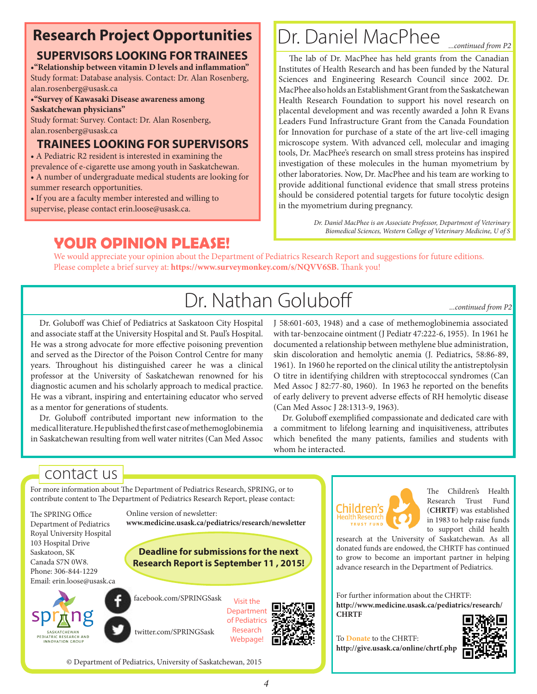# **Research Project Opportunities**

### **SUPERVISORS LOOKING FOR TRAINEES**

**•"Relationship between vitamin D levels and inflammation"** Study format: Database analysis. Contact: Dr. Alan Rosenberg, alan.rosenberg@usask.ca

**•"Survey of Kawasaki Disease awareness among Saskatchewan physicians"**

Study format: Survey. Contact: Dr. Alan Rosenberg, alan.rosenberg@usask.ca

### **TRAINEES LOOKING FOR SUPERVISORS**

**•** A Pediatric R2 resident is interested in examining the prevalence of e-cigarette use among youth in Saskatchewan.

- A number of undergraduate medical students are looking for summer research opportunities.
- If you are a faculty member interested and willing to
- supervise, please contact erin.loose@usask.ca.

# Dr. Daniel MacPhee

*...continued from P2*

The lab of Dr. MacPhee has held grants from the Canadian Institutes of Health Research and has been funded by the Natural Sciences and Engineering Research Council since 2002. Dr. MacPhee also holds an Establishment Grant from the Saskatchewan Health Research Foundation to support his novel research on placental development and was recently awarded a John R Evans Leaders Fund Infrastructure Grant from the Canada Foundation for Innovation for purchase of a state of the art live-cell imaging microscope system. With advanced cell, molecular and imaging tools, Dr. MacPhee's research on small stress proteins has inspired investigation of these molecules in the human myometrium by other laboratories. Now, Dr. MacPhee and his team are working to provide additional functional evidence that small stress proteins should be considered potential targets for future tocolytic design in the myometrium during pregnancy.

> *Dr. Daniel MacPhee is an Associate Professor, Department of Veterinary Biomedical Sciences, Western College of Veterinary Medicine, U of S*

**YOUR OPINION PLEASE!** We would appreciate your opinion about the Department of Pediatrics Research Report and suggestions for future editions. Please complete a brief survey at: **https://www.surveymonkey.com/s/NQVV6SB.** Thank you!

# Dr. Nathan Goluboff

*...continued from P2*

Dr. Goluboff was Chief of Pediatrics at Saskatoon City Hospital and associate staff at the University Hospital and St. Paul's Hospital. He was a strong advocate for more effective poisoning prevention and served as the Director of the Poison Control Centre for many years. Throughout his distinguished career he was a clinical professor at the University of Saskatchewan renowned for his diagnostic acumen and his scholarly approach to medical practice. He was a vibrant, inspiring and entertaining educator who served as a mentor for generations of students.

Dr. Goluboff contributed important new information to the medical literature. He published the first case of methemoglobinemia in Saskatchewan resulting from well water nitrites (Can Med Assoc J 58:601-603, 1948) and a case of methemoglobinemia associated with tar-benzocaine ointment (J Pediatr 47:222-6, 1955). In 1961 he documented a relationship between methylene blue administration, skin discoloration and hemolytic anemia (J. Pediatrics, 58:86-89, 1961). In 1960 he reported on the clinical utility the antistreptolysin O titre in identifying children with streptococcal syndromes (Can Med Assoc J 82:77-80, 1960). In 1963 he reported on the benefits of early delivery to prevent adverse effects of RH hemolytic disease (Can Med Assoc J 28:1313-9, 1963).

Dr. Goluboff exemplified compassionate and dedicated care with a commitment to lifelong learning and inquisitiveness, attributes which benefited the many patients, families and students with whom he interacted.

# contact us

For more information about The Department of Pediatrics Research, SPRING, or to contribute content to The Department of Pediatrics Research Report, please contact:

Online version of newsletter:

twitter.com/SPRINGSask

© Department of Pediatrics, University of Saskatchewan, 2015

The SPRING Office Department of Pediatrics Royal University Hospital 103 Hospital Drive Saskatoon, SK Canada S7N 0W8. Phone: 306-844-1229 Email: erin.loose@usask.ca



**Research Report is September 11 , 2015!** facebook.com/SPRINGSask Visit the **Department** 

**www.medicine.usask.ca/pediatrics/research/newsletter**

**Deadline for submissions for the next** 



Children's -lealth Research TRUST FUND

The Children's Health Research Trust Fund (**CHRTF**) was established in 1983 to help raise funds to support child health

research at the University of Saskatchewan. As all donated funds are endowed, the CHRTF has continued to grow to become an important partner in helping advance research in the Department of Pediatrics.

For further information about the CHRTF: **http://www.medicine.usask.ca/pediatrics/research/ CHRTF**

To **Donate** to the CHRTF: **http://give.usask.ca/online/chrtf.php**

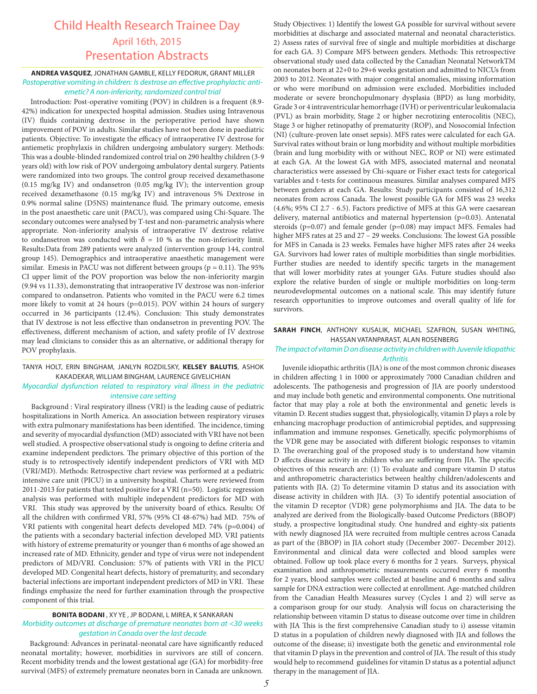### Child Health Research Trainee Day April 16th, 2015 Presentation Abstracts

#### **ANDREA VASQUEZ**, JONATHAN GAMBLE, KELLY FEDORUK, GRANT MILLER *Postoperative vomiting in children: Is dextrose an effective prophylactic antiemetic? A non-inferiority, randomized control trial*

Introduction: Post-operative vomiting (POV) in children is a frequent (8.9- 42%) indication for unexpected hospital admission. Studies using Intravenous (IV) fluids containing dextrose in the perioperative period have shown improvement of POV in adults. Similar studies have not been done in paediatric patients. Objective: To investigate the efficacy of intraoperative IV dextrose for antiemetic prophylaxis in children undergoing ambulatory surgery. Methods: This was a double-blinded randomized control trial on 290 healthy children (3-9 years old) with low risk of POV undergoing ambulatory dental surgery. Patients were randomized into two groups. The control group received dexamethasone (0.15 mg/kg IV) and ondansetron (0.05 mg/kg IV); the intervention group received dexamethasone (0.15 mg/kg IV) and intravenous 5% Dextrose in 0.9% normal saline (D5NS) maintenance fluid. The primary outcome, emesis in the post anaesthetic care unit (PACU), was compared using Chi-Square. The secondary outcomes were analysed by T-test and non-parametric analysis where appropriate. Non-inferiority analysis of intraoperative IV dextrose relative to ondansetron was conducted with  $\delta = 10$  % as the non-inferiority limit. Results:Data from 289 patients were analyzed (intervention group 144, control group 145). Demographics and intraoperative anaesthetic management were similar. Emesis in PACU was not different between groups ( $p = 0.11$ ). The 95% CI upper limit of the POV proportion was below the non-inferiority margin (9.94 vs 11.33), demonstrating that intraoperative IV dextrose was non-inferior compared to ondansetron. Patients who vomited in the PACU were 6.2 times more likely to vomit at 24 hours (p=0.015). POV within 24 hours of surgery occurred in 36 participants (12.4%). Conclusion: This study demonstrates that IV dextrose is not less effective than ondansetron in preventing POV. The effectiveness, different mechanism of action, and safety profile of IV dextrose may lead clinicians to consider this as an alternative, or additional therapy for POV prophylaxis.

#### TANYA HOLT, ERIN BINGHAM, JANLYN ROZDILSKY, **KELSEY BALUTIS**, ASHOK KAKADEKAR, WILLIAM BINGHAM, LAURENCE GIVELICHIAN

#### *Myocardial dysfunction related to respiratory viral illness in the pediatric intensive care setting*

Background : Viral respiratory illness (VRI) is the leading cause of pediatric hospitalizations in North America. An association between respiratory viruses with extra pulmonary manifestations has been identified. The incidence, timing and severity of myocardial dysfunction (MD) associated with VRI have not been well studied. A prospective observational study is ongoing to define criteria and examine independent predictors. The primary objective of this portion of the study is to retrospectively identify independent predictors of VRI with MD (VRI/MD). Methods: Retrospective chart review was performed at a pediatric intensive care unit (PICU) in a university hospital. Charts were reviewed from 2011-2013 for patients that tested positive for a VRI (n=50). Logistic regression analysis was performed with multiple independent predictors for MD with VRI. This study was approved by the university board of ethics. Results: Of all the children with confirmed VRI, 57% (95% CI 48-67%) had MD. 75% of VRI patients with congenital heart defects developed MD. 74% (p=0.004) of the patients with a secondary bacterial infection developed MD. VRI patients with history of extreme prematurity or younger than 6 months of age showed an increased rate of MD. Ethnicity, gender and type of virus were not independent predictors of MD/VRI. Conclusion: 57% of patients with VRI in the PICU developed MD. Congenital heart defects, history of prematurity, and secondary bacterial infections are important independent predictors of MD in VRI. These findings emphasize the need for further examination through the prospective component of this trial.

#### **BONITA BODANI** , XY YE , JP BODANI, L MIREA, K SANKARAN *Morbidity outcomes at discharge of premature neonates born at <30 weeks gestation in Canada over the last decade*

Background: Advances in perinatal-neonatal care have significantly reduced neonatal mortality; however, morbidities in survivors are still of concern. Recent morbidity trends and the lowest gestational age (GA) for morbidity-free survival (MFS) of extremely premature neonates born in Canada are unknown.

Study Objectives: 1) Identify the lowest GA possible for survival without severe morbidities at discharge and associated maternal and neonatal characteristics. 2) Assess rates of survival free of single and multiple morbidities at discharge for each GA. 3) Compare MFS between genders. Methods: This retrospective observational study used data collected by the Canadian Neonatal NetworkTM on neonates born at 22+0 to 29+6 weeks gestation and admitted to NICUs from 2003 to 2012. Neonates with major congenital anomalies, missing information or who were moribund on admission were excluded. Morbidities included moderate or severe bronchopulmonary dysplasia (BPD) as lung morbidity, Grade 3 or 4 intraventricular hemorrhage (IVH) or periventricular leukomalacia (PVL) as brain morbidity, Stage 2 or higher necrotizing enterocolitis (NEC), Stage 3 or higher retinopathy of prematurity (ROP), and Nosocomial Infection (NI) (culture-proven late onset sepsis). MFS rates were calculated for each GA. Survival rates without brain or lung morbidity and without multiple morbidities (brain and lung morbidity with or without NEC, ROP or NI) were estimated at each GA. At the lowest GA with MFS, associated maternal and neonatal characteristics were assessed by Chi-square or Fisher exact tests for categorical variables and t-tests for continuous measures. Similar analyses compared MFS between genders at each GA. Results: Study participants consisted of 16,312 neonates from across Canada. The lowest possible GA for MFS was 23 weeks (4.6%; 95% CI 2.7 - 6.5). Factors predictive of MFS at this GA were caesarean delivery, maternal antibiotics and maternal hypertension (p=0.03). Antenatal steroids (p=0.07) and female gender (p=0.08) may impact MFS. Females had higher MFS rates at 25 and 27 – 29 weeks. Conclusions: The lowest GA possible for MFS in Canada is 23 weeks. Females have higher MFS rates after 24 weeks GA. Survivors had lower rates of multiple morbidities than single morbidities. Further studies are needed to identify specific targets in the management that will lower morbidity rates at younger GAs. Future studies should also explore the relative burden of single or multiple morbidities on long-term neurodevelopmental outcomes on a national scale. This may identify future research opportunities to improve outcomes and overall quality of life for survivors.

#### **SARAH FINCH**, ANTHONY KUSALIK, MICHAEL SZAFRON, SUSAN WHITING, HASSAN VATANPARAST, ALAN ROSENBERG

#### *The impact of vitamin D on disease activity in children with Juvenile Idiopathic Arthritis*

Juvenile idiopathic arthritis (JIA) is one of the most common chronic diseases in children affecting 1 in 1000 or approximately 7000 Canadian children and adolescents. The pathogenesis and progression of JIA are poorly understood and may include both genetic and environmental components. One nutritional factor that may play a role at both the environmental and genetic levels is vitamin D. Recent studies suggest that, physiologically, vitamin D plays a role by enhancing macrophage production of antimicrobial peptides, and suppressing inflammation and immune responses. Genetically, specific polymorphisms of the VDR gene may be associated with different biologic responses to vitamin D. The overarching goal of the proposed study is to understand how vitamin D affects disease activity in children who are suffering from JIA. The specific objectives of this research are: (1) To evaluate and compare vitamin D status and anthropometric characteristics between healthy children/adolescents and patients with JIA. (2) To determine vitamin D status and its association with disease activity in children with JIA. (3) To identify potential association of the vitamin D receptor (VDR) gene polymorphisms and JIA. The data to be analyzed are derived from the Biologically-based Outcome Predictors (BBOP) study, a prospective longitudinal study. One hundred and eighty-six patients with newly diagnosed JIA were recruited from multiple centres across Canada as part of the (BBOP) in JIA cohort study (December 2007- December 2012). Environmental and clinical data were collected and blood samples were obtained. Follow up took place every 6 months for 2 years. Surveys, physical examination and anthropometric measurements occurred every 6 months for 2 years, blood samples were collected at baseline and 6 months and saliva sample for DNA extraction were collected at enrollment. Age-matched children from the Canadian Health Measures survey (Cycles 1 and 2) will serve as a comparison group for our study. Analysis will focus on characterising the relationship between vitamin D status to disease outcome over time in children with JIA This is the first comprehensive Canadian study to i) assesse vitamin D status in a population of children newly diagnosed with JIA and follows the outcome of the disease; ii) investigate both the genetic and environmental role that vitamin D plays in the prevention and control of JIA. The result of this study would help to recommend guidelines for vitamin D status as a potential adjunct therapy in the management of JIA.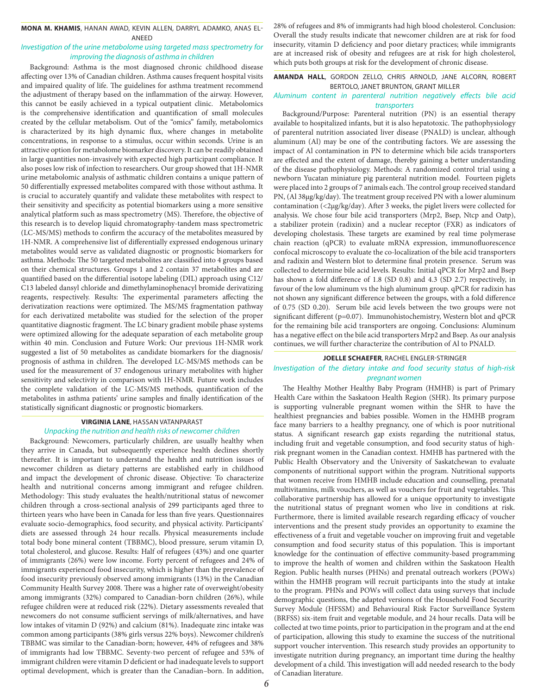#### **MONA M. KHAMIS**, HANAN AWAD, KEVIN ALLEN, DARRYL ADAMKO, ANAS EL-ANEED

#### *Investigation of the urine metabolome using targeted mass spectrometry for improving the diagnosis of asthma in children*

Background: Asthma is the most diagnosed chronic childhood disease affecting over 13% of Canadian children. Asthma causes frequent hospital visits and impaired quality of life. The guidelines for asthma treatment recommend the adjustment of therapy based on the inflammation of the airway. However, this cannot be easily achieved in a typical outpatient clinic. Metabolomics is the comprehensive identification and quantification of small molecules created by the cellular metabolism. Out of the "omics" family, metabolomics is characterized by its high dynamic flux, where changes in metabolite concentrations, in response to a stimulus, occur within seconds. Urine is an attractive option for metabolome biomarker discovery. It can be readily obtained in large quantities non-invasively with expected high participant compliance. It also poses low risk of infection to researchers. Our group showed that 1H-NMR urine metabolomic analysis of asthmatic children contains a unique pattern of 50 differentially expressed metabolites compared with those without asthma. It is crucial to accurately quantify and validate these metabolites with respect to their sensitivity and specificity as potential biomarkers using a more sensitive analytical platform such as mass spectrometry (MS). Therefore, the objective of this research is to develop liquid chromatography-tandem mass spectrometric (LC-MS/MS) methods to confirm the accuracy of the metabolites measured by 1H-NMR. A comprehensive list of differentially expressed endogenous urinary metabolites would serve as validated diagnostic or prognostic biomarkers for asthma. Methods: The 50 targeted metabolites are classified into 4 groups based on their chemical structures. Groups 1 and 2 contain 37 metabolites and are quantified based on the differential isotope labeling (DIL) approach using C12/ C13 labeled dansyl chloride and dimethylaminophenacyl bromide derivatizing reagents, respectively. Results: The experimental parameters affecting the derivatization reactions were optimized. The MS/MS fragmentation pathway for each derivatized metabolite was studied for the selection of the proper quantitative diagnostic fragment. The LC binary gradient mobile phase systems were optimized allowing for the adequate separation of each metabolite group within 40 min. Conclusion and Future Work: Our previous 1H-NMR work suggested a list of 50 metabolites as candidate biomarkers for the diagnosis/ prognosis of asthma in children. The developed LC-MS/MS methods can be used for the measurement of 37 endogenous urinary metabolites with higher sensitivity and selectivity in comparison with 1H-NMR. Future work includes the complete validation of the LC-MS/MS methods, quantification of the metabolites in asthma patients' urine samples and finally identification of the statistically significant diagnostic or prognostic biomarkers.

#### **VIRGINIA LANE**, HASSAN VATANPARAST *Unpacking the nutrition and health risks of newcomer children*

Background: Newcomers, particularly children, are usually healthy when they arrive in Canada, but subsequently experience health declines shortly thereafter. It is important to understand the health and nutrition issues of newcomer children as dietary patterns are established early in childhood and impact the development of chronic disease. Objective: To characterize health and nutritional concerns among immigrant and refugee children. Methodology: This study evaluates the health/nutritional status of newcomer children through a cross-sectional analysis of 299 participants aged three to thirteen years who have been in Canada for less than five years. Questionnaires evaluate socio-demographics, food security, and physical activity. Participants' diets are assessed through 24 hour recalls. Physical measurements include total body bone mineral content (TBBMC), blood pressure, serum vitamin D, total cholesterol, and glucose. Results: Half of refugees (43%) and one quarter of immigrants (26%) were low income. Forty percent of refugees and 24% of immigrants experienced food insecurity, which is higher than the prevalence of food insecurity previously observed among immigrants (13%) in the Canadian Community Health Survey 2008. There was a higher rate of overweight/obesity among immigrants (32%) compared to Canadian-born children (26%), while refugee children were at reduced risk (22%). Dietary assessments revealed that newcomers do not consume sufficient servings of milk/alternatives, and have low intakes of vitamin D (92%) and calcium (81%). Inadequate zinc intake was common among participants (38% girls versus 22% boys). Newcomer children's TBBMC was similar to the Canadian-born; however, 44% of refugees and 38% of immigrants had low TBBMC. Seventy-two percent of refugee and 53% of immigrant children were vitamin D deficient or had inadequate levels to support optimal development, which is greater than the Canadian–born. In addition,

28% of refugees and 8% of immigrants had high blood cholesterol. Conclusion: Overall the study results indicate that newcomer children are at risk for food insecurity, vitamin D deficiency and poor dietary practices; while immigrants are at increased risk of obesity and refugees are at risk for high cholesterol, which puts both groups at risk for the development of chronic disease.

#### **AMANDA HALL**, GORDON ZELLO, CHRIS ARNOLD, JANE ALCORN, ROBERT BERTOLO, JANET BRUNTON, GRANT MILLER

#### *Aluminum content in parenteral nutrition negatively effects bile acid transporters*

Background/Purpose: Parenteral nutrition (PN) is an essential therapy available to hospitalized infants, but it is also hepatotoxic. The pathophysiology of parenteral nutrition associated liver disease (PNALD) is unclear, although aluminum (Al) may be one of the contributing factors. We are assessing the impact of Al contamination in PN to determine which bile acids transporters are effected and the extent of damage, thereby gaining a better understanding of the disease pathophysiology. Methods: A randomized control trial using a newborn Yucatan miniature pig parenteral nutrition model. Fourteen piglets were placed into 2 groups of 7 animals each. The control group received standard PN, (Al 38μg/kg/day). The treatment group received PN with a lower aluminum contamination (<2μg/kg/day). After 3 weeks, the piglet livers were collected for analysis. We chose four bile acid transporters (Mrp2, Bsep, Ntcp and Oatp), a stabilizer protein (radixin) and a nuclear receptor (FXR) as indicators of developing cholestasis. These targets are examined by real time polymerase chain reaction (qPCR) to evaluate mRNA expression, immunofluorescence confocal microscopy to evaluate the co-localization of the bile acid transporters and radixin and Western blot to determine final protein presence. Serum was collected to determine bile acid levels. Results: Initial qPCR for Mrp2 and Bsep has shown a fold difference of 1.8 (SD 0.8) and 4.3 (SD 2.7) respectively, in favour of the low aluminum vs the high aluminum group. qPCR for radixin has not shown any significant difference between the groups, with a fold difference of 0.75 (SD 0.20). Serum bile acid levels between the two groups were not significant different (p=0.07). Immunohistochemistry, Western blot and qPCR for the remaining bile acid transporters are ongoing. Conclusions: Aluminum has a negative effect on the bile acid transporters Mrp2 and Bsep. As our analysis continues, we will further characterize the contribution of Al to PNALD.

#### **JOELLE SCHAEFER**, RACHEL ENGLER-STRINGER

#### *Investigation of the dietary intake and food security status of high-risk pregnant women*

The Healthy Mother Healthy Baby Program (HMHB) is part of Primary Health Care within the Saskatoon Health Region (SHR). Its primary purpose is supporting vulnerable pregnant women within the SHR to have the healthiest pregnancies and babies possible. Women in the HMHB program face many barriers to a healthy pregnancy, one of which is poor nutritional status. A significant research gap exists regarding the nutritional status, including fruit and vegetable consumption, and food security status of highrisk pregnant women in the Canadian context. HMHB has partnered with the Public Health Observatory and the University of Saskatchewan to evaluate components of nutritional support within the program. Nutritional supports that women receive from HMHB include education and counselling, prenatal multivitamins, milk vouchers, as well as vouchers for fruit and vegetables. This collaborative partnership has allowed for a unique opportunity to investigate the nutritional status of pregnant women who live in conditions at risk. Furthermore, there is limited available research regarding efficacy of voucher interventions and the present study provides an opportunity to examine the effectiveness of a fruit and vegetable voucher on improving fruit and vegetable consumption and food security status of this population. This is important knowledge for the continuation of effective community-based programming to improve the health of women and children within the Saskatoon Health Region. Public health nurses (PHNs) and prenatal outreach workers (POWs) within the HMHB program will recruit participants into the study at intake to the program. PHNs and POWs will collect data using surveys that include demographic questions, the adapted versions of the Household Food Security Survey Module (HFSSM) and Behavioural Risk Factor Surveillance System (BRFSS) six-item fruit and vegetable module, and 24 hour recalls. Data will be collected at two time points, prior to participation in the program and at the end of participation, allowing this study to examine the success of the nutritional support voucher intervention. This research study provides an opportunity to investigate nutrition during pregnancy, an important time during the healthy development of a child. This investigation will add needed research to the body of Canadian literature.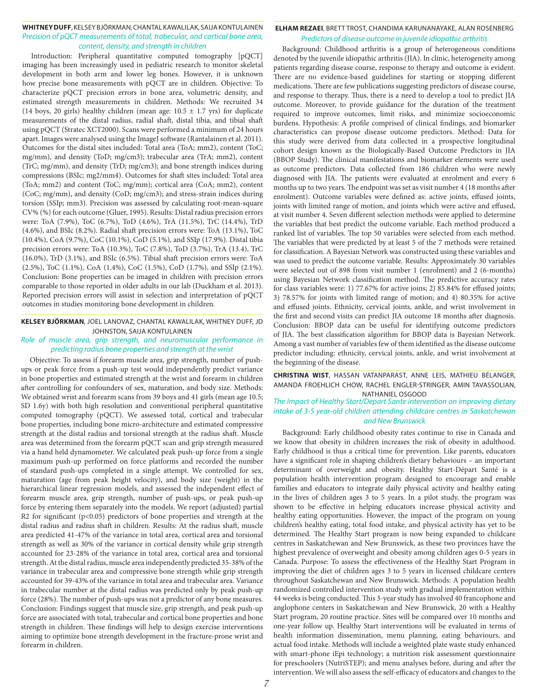#### **WHITNEY DUFF**, KELSEY BJÖRKMAN, CHANTAL KAWALILAK, SAIJA KONTULAINEN *Precision of pQCT measurements of total, trabecular, and cortical bone area, content, density, and strength in children*

Introduction: Peripheral quantitative computed tomography [pQCT] imaging has been increasingly used in pediatric research to monitor skeletal development in both arm and lower leg bones. However, it is unknown how precise bone measurements with pQCT are in children. Objective: To characterize pQCT precision errors in bone area, volumetric density, and estimated strength measurements in children. Methods: We recruited 34 (14 boys, 20 girls) healthy children (mean age:  $10.5 \pm 1.7$  yrs) for duplicate measurements of the distal radius, radial shaft, distal tibia, and tibial shaft using pQCT (Stratec XCT2000). Scans were performed a minimum of 24 hours apart. Images were analysed using the ImageJ software (Rantalainen et al. 2011). Outcomes for the distal sites included: Total area (ToA; mm2), content (ToC; mg/mm), and density (ToD; mg/cm3); trabecular area (TrA; mm2), content (TrC; mg/mm), and density (TrD; mg/cm3); and bone strength indices during compressions (BSIc; mg2/mm4). Outcomes for shaft sites included: Total area (ToA; mm2) and content (ToC; mg/mm); cortical area (CoA; mm2), content (CoC; mg/mm), and density (CoD; mg/cm3); and stress-strain indices during torsion (SSIp; mm3). Precision was assessed by calculating root-mean-square CV% (%) for each outcome (Gluer, 1995). Results: Distal radius precision errors were: ToA (7.9%), ToC (6.7%), ToD (4.6%), TrA (11.5%), TrC (14.4%), TrD (4.6%), and BSIc (8.2%). Radial shaft precision errors were: ToA (13.1%), ToC (10.4%), CoA (9.7%), CoC (10.1%), CoD (5.1%), and SSIp (17.9%). Distal tibia precision errors were: ToA (10.3%), ToC (7.8%), ToD (3.7%), TrA (13.4), TrC (16.0%), TrD (3.1%), and BSIc (6.5%). Tibial shaft precision errors were: ToA (2.5%), ToC (1.1%), CoA (1.4%), CoC (1.5%), CoD (1.7%), and SSIp (2.1%). Conclusion: Bone properties can be imaged in children with precision errors comparable to those reported in older adults in our lab (Duckham et al. 2013). Reported precision errors will assist in selection and interpretation of pQCT outcomes in studies monitoring bone development in children.

#### **KELSEY BJÖRKMAN**, JOEL LANOVAZ, CHANTAL KAWALILAK, WHITNEY DUFF, JD JOHNSTON, SAIJA KONTULAINEN

#### *Role of muscle area, grip strength, and neuromuscular performance in predicting radius bone properties and strength at the wrist*

Objective: To assess if forearm muscle area, grip strength, number of pushups or peak force from a push-up test would independently predict variance in bone properties and estimated strength at the wrist and forearm in children after controlling for confounders of sex, maturation, and body size. Methods: We obtained wrist and forearm scans from 39 boys and 41 girls (mean age 10.5; SD 1.6y) with both high resolution and conventional peripheral quantitative computed tomography (pQCT). We assessed total, cortical and trabecular bone properties, including bone micro-architecture and estimated compressive strength at the distal radius and torsional strength at the radius shaft. Muscle area was determined from the forearm pQCT scan and grip strength measured via a hand held dynamometer. We calculated peak push-up force from a single maximum push-up performed on force platforms and recorded the number of standard push-ups completed in a single attempt. We controlled for sex, maturation (age from peak height velocity), and body size (weight) in the hierarchical linear regression models, and assessed the independent effect of forearm muscle area, grip strength, number of push-ups, or peak push-up force by entering them separately into the models. We report (adjusted) partial R2 for significant (p<0.05) predictors of bone properties and strength at the distal radius and radius shaft in children. Results: At the radius shaft, muscle area predicted 41-47% of the variance in total area, cortical area and torsional strength as well as 30% of the variance in cortical density while grip strength accounted for 23-28% of the variance in total area, cortical area and torsional strength. At the distal radius, muscle area independently predicted 35-38% of the variance in trabecular area and compressive bone strength while grip strength accounted for 39-43% of the variance in total area and trabecular area. Variance in trabecular number at the distal radius was predicted only by peak push-up force (28%). The number of push-ups was not a predictor of any bone measures. Conclusion: Findings suggest that muscle size, grip strength, and peak push-up force are associated with total, trabecular and cortical bone properties and bone strength in children. These findings will help to design exercise interventions aiming to optimize bone strength development in the fracture-prone wrist and forearm in children.

#### **ELHAM REZAEI**, BRETT TROST, CHANDIMA KARUNANAYAKE, ALAN ROSENBERG *Predictors of disease outcome in juvenile idiopathic arthritis*

Background: Childhood arthritis is a group of heterogeneous conditions denoted by the juvenile idiopathic arthritis (JIA). In clinic, heterogeneity among patients regarding disease course, response to therapy and outcome is evident. There are no evidence-based guidelines for starting or stopping different medications. There are few publications suggesting predictors of disease course, and response to therapy. Thus, there is a need to develop a tool to predict JIA outcome. Moreover, to provide guidance for the duration of the treatment required to improve outcomes, limit risks, and minimize socioeconomic burdens. Hypothesis: A profile comprised of clinical findings, and biomarker characteristics can propose disease outcome predictors. Method: Data for this study were derived from data collected in a prospective longitudinal cohort design known as the Biologically-Based Outcome Predictors in JIA (BBOP Study). The clinical manifestations and biomarker elements were used as outcome predictors. Data collected from 186 children who were newly diagnosed with JIA. The patients were evaluated at enrolment and every 6 months up to two years. The endpoint was set as visit number 4 (18 months after enrolment). Outcome variables were defined as: active joints, effused joints, joints with limited range of motion, and joints which were active and effused, at visit number 4. Seven different selection methods were applied to determine the variables that best predict the outcome variable. Each method produced a ranked list of variables. The top 50 variables were selected from each method. The variables that were predicted by at least 5 of the 7 methods were retained for classification. A Bayesian Network was constructed using these variables and was used to predict the outcome variable. Results: Approximately 30 variables were selected out of 898 from visit number 1 (enrolment) and 2 (6-months) using Bayesian Network classification method. The predictive accuracy rates for class variables were: 1) 77.67% for active joins; 2) 85.84% for effused joints; 3) 78.57% for joints with limited range of motion; and 4) 80.35% for active and effused joints. Ethnicity, cervical joints, ankle, and wrist involvement in the first and second visits can predict JIA outcome 18 months after diagnosis. Conclusion: BBOP data can be useful for identifying outcome predictors of JIA. The best classification algorithm for BBOP data is Bayesian Network. Among a vast number of variables few of them identified as the disease outcome predictor including: ethnicity, cervical joints, ankle, and wrist involvement at the beginning of the disease.

#### **CHRISTINA WIST**, HASSAN VATANPARAST, ANNE LEIS, MATHIEU BÉLANGER, AMANDA FROEHLICH CHOW, RACHEL ENGLER-STRINGER, AMIN TAVASSOLIAN, NATHANIEL OSGOOD

#### *The Impact of Healthy Start/Depart Sante intervention on improving dietary intake of 3-5 year-old children attending childcare centres in Saskatchewan and New Brunswick*

Background: Early childhood obesity rates continue to rise in Canada and we know that obesity in children increases the risk of obesity in adulthood. Early childhood is thus a critical time for prevention. Like parents, educators have a significant role in shaping children's dietary behaviours – an important determinant of overweight and obesity. Healthy Start-Départ Santé is a population health intervention program designed to encourage and enable families and educators to integrate daily physical activity and healthy eating in the lives of children ages 3 to 5 years. In a pilot study, the program was shown to be effective in helping educators increase physical activity and healthy eating opportunities. However, the impact of the program on young children's healthy eating, total food intake, and physical activity has yet to be determined. The Healthy Start program is now being expanded to childcare centres in Saskatchewan and New Brunswick, as these two provinces have the highest prevalence of overweight and obesity among children ages 0-5 years in Canada. Purpose: To assess the effectiveness of the Healthy Start Program in improving the diet of children ages 3 to 5 years in licensed childcare centers throughout Saskatchewan and New Brunswick. Methods: A population health randomized controlled intervention study with gradual implementation within 44 weeks is being conducted. This 3-year study has involved 40 francophone and anglophone centers in Saskatchewan and New Brunswick, 20 with a Healthy Start program, 20 routine practice. Sites will be compared over 10 months and one-year follow up. Healthy Start interventions will be evaluated in terms of health information dissemination, menu planning, eating behaviours, and actual food intake. Methods will include a weighted plate waste study enhanced with smart-phone iEpi technology; a nutrition risk assessment questionnaire for preschoolers (NutriSTEP); and menu analyses before, during and after the intervention. We will also assess the self-efficacy of educators and changes to the